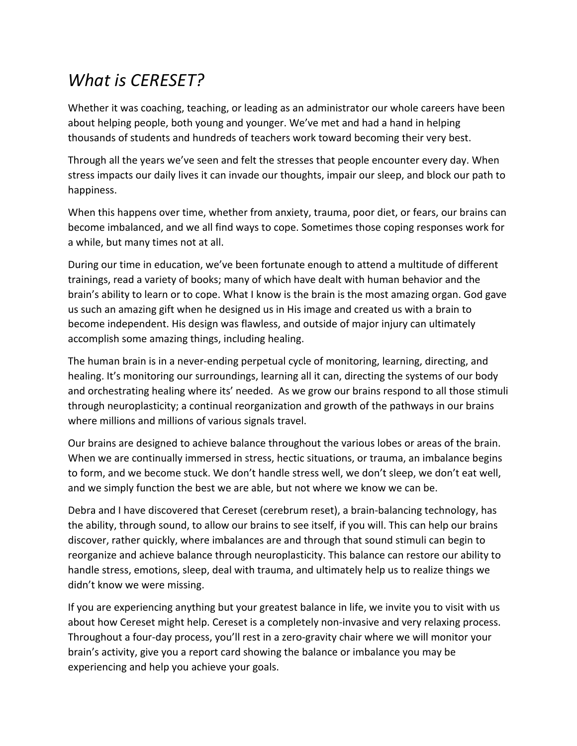## *What is CERESET?*

Whether it was coaching, teaching, or leading as an administrator our whole careers have been about helping people, both young and younger. We've met and had a hand in helping thousands of students and hundreds of teachers work toward becoming their very best.

Through all the years we've seen and felt the stresses that people encounter every day. When stress impacts our daily lives it can invade our thoughts, impair our sleep, and block our path to happiness.

When this happens over time, whether from anxiety, trauma, poor diet, or fears, our brains can become imbalanced, and we all find ways to cope. Sometimes those coping responses work for a while, but many times not at all.

During our time in education, we've been fortunate enough to attend a multitude of different trainings, read a variety of books; many of which have dealt with human behavior and the brain's ability to learn or to cope. What I know is the brain is the most amazing organ. God gave us such an amazing gift when he designed us in His image and created us with a brain to become independent. His design was flawless, and outside of major injury can ultimately accomplish some amazing things, including healing.

The human brain is in a never-ending perpetual cycle of monitoring, learning, directing, and healing. It's monitoring our surroundings, learning all it can, directing the systems of our body and orchestrating healing where its' needed. As we grow our brains respond to all those stimuli through neuroplasticity; a continual reorganization and growth of the pathways in our brains where millions and millions of various signals travel.

Our brains are designed to achieve balance throughout the various lobes or areas of the brain. When we are continually immersed in stress, hectic situations, or trauma, an imbalance begins to form, and we become stuck. We don't handle stress well, we don't sleep, we don't eat well, and we simply function the best we are able, but not where we know we can be.

Debra and I have discovered that Cereset (cerebrum reset), a brain-balancing technology, has the ability, through sound, to allow our brains to see itself, if you will. This can help our brains discover, rather quickly, where imbalances are and through that sound stimuli can begin to reorganize and achieve balance through neuroplasticity. This balance can restore our ability to handle stress, emotions, sleep, deal with trauma, and ultimately help us to realize things we didn't know we were missing.

If you are experiencing anything but your greatest balance in life, we invite you to visit with us about how Cereset might help. Cereset is a completely non-invasive and very relaxing process. Throughout a four-day process, you'll rest in a zero-gravity chair where we will monitor your brain's activity, give you a report card showing the balance or imbalance you may be experiencing and help you achieve your goals.